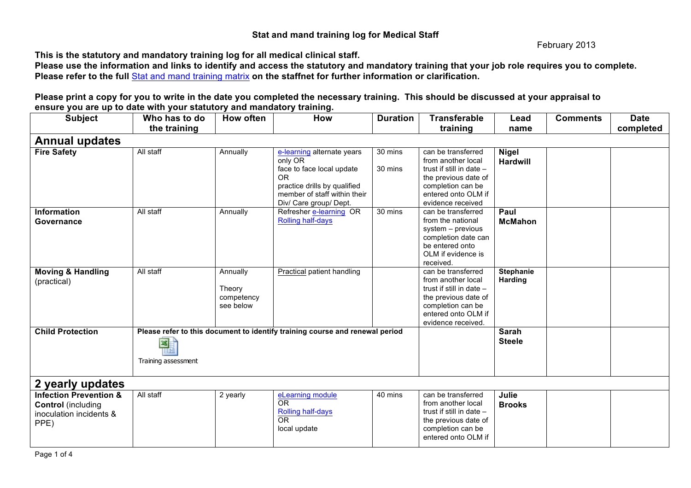## **Stat and mand training log for Medical Staff**

February 2013

**This is the statutory and mandatory training log for all medical clinical staff.** 

**Please use the information and links to identify and access the statutory and mandatory training that your job role requires you to complete. Please refer to the full** Stat and mand training matrix **on the staffnet for further information or clarification.**

**Please print a copy for you to write in the date you completed the necessary training. This should be discussed at your appraisal to ensure you are up to date with your statutory and mandatory training.** 

| <b>Subject</b>                                                                                    | Who has to do                                                                                            | How often                                     | <b>How</b>                                                                                                                                                                | <b>Duration</b>    | <b>Transferable</b>                                                                                                                                            | Lead                               | <b>Comments</b> | <b>Date</b> |  |
|---------------------------------------------------------------------------------------------------|----------------------------------------------------------------------------------------------------------|-----------------------------------------------|---------------------------------------------------------------------------------------------------------------------------------------------------------------------------|--------------------|----------------------------------------------------------------------------------------------------------------------------------------------------------------|------------------------------------|-----------------|-------------|--|
|                                                                                                   | the training                                                                                             |                                               |                                                                                                                                                                           |                    | training                                                                                                                                                       | name                               |                 | completed   |  |
| <b>Annual updates</b>                                                                             |                                                                                                          |                                               |                                                                                                                                                                           |                    |                                                                                                                                                                |                                    |                 |             |  |
| <b>Fire Safety</b>                                                                                | All staff                                                                                                | Annually                                      | e-learning alternate years<br>only OR<br>face to face local update<br><b>OR</b><br>practice drills by qualified<br>member of staff within their<br>Div/ Care group/ Dept. | 30 mins<br>30 mins | can be transferred<br>from another local<br>trust if still in date -<br>the previous date of<br>completion can be<br>entered onto OLM if<br>evidence received  | <b>Nigel</b><br><b>Hardwill</b>    |                 |             |  |
| <b>Information</b><br>Governance                                                                  | All staff                                                                                                | Annually                                      | Refresher e-learning OR<br><b>Rolling half-days</b>                                                                                                                       | 30 mins            | can be transferred<br>from the national<br>system - previous<br>completion date can<br>be entered onto<br>OLM if evidence is<br>received.                      | Paul<br><b>McMahon</b>             |                 |             |  |
| <b>Moving &amp; Handling</b><br>(practical)                                                       | All staff                                                                                                | Annually<br>Theory<br>competency<br>see below | Practical patient handling                                                                                                                                                |                    | can be transferred<br>from another local<br>trust if still in date -<br>the previous date of<br>completion can be<br>entered onto OLM if<br>evidence received. | <b>Stephanie</b><br><b>Harding</b> |                 |             |  |
| <b>Child Protection</b>                                                                           | Please refer to this document to identify training course and renewal period<br>鸜<br>Training assessment |                                               |                                                                                                                                                                           |                    |                                                                                                                                                                | <b>Sarah</b><br><b>Steele</b>      |                 |             |  |
| 2 yearly updates                                                                                  |                                                                                                          |                                               |                                                                                                                                                                           |                    |                                                                                                                                                                |                                    |                 |             |  |
| <b>Infection Prevention &amp;</b><br><b>Control</b> (including<br>inoculation incidents &<br>PPE) | All staff                                                                                                | 2 yearly                                      | eLearning module<br><b>OR</b><br>Rolling half-days<br><b>OR</b><br>local update                                                                                           | 40 mins            | can be transferred<br>from another local<br>trust if still in date -<br>the previous date of<br>completion can be<br>entered onto OLM if                       | Julie<br><b>Brooks</b>             |                 |             |  |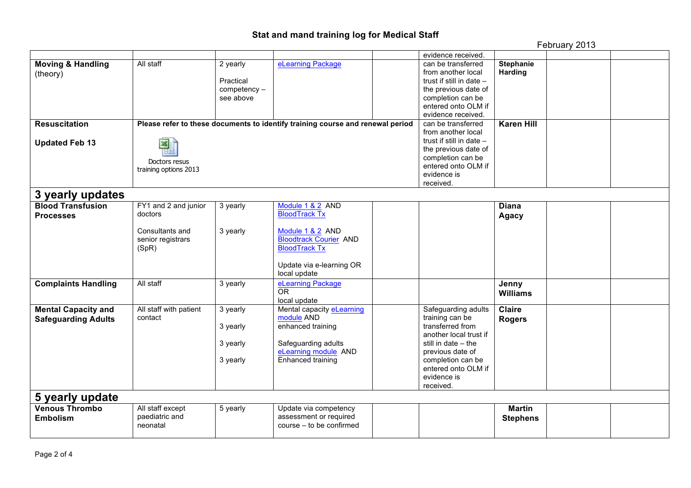## **Stat and mand training log for Medical Staff**

February 2013

|                              |                        |                    |                                                                                |  | evidence received.         |                   |  |  |
|------------------------------|------------------------|--------------------|--------------------------------------------------------------------------------|--|----------------------------|-------------------|--|--|
|                              |                        |                    |                                                                                |  |                            |                   |  |  |
| <b>Moving &amp; Handling</b> | All staff              | 2 yearly           | eLearning Package                                                              |  | can be transferred         | <b>Stephanie</b>  |  |  |
| (theory)                     |                        |                    |                                                                                |  | from another local         | <b>Harding</b>    |  |  |
|                              |                        | Practical          |                                                                                |  | trust if still in date $-$ |                   |  |  |
|                              |                        | competency -       |                                                                                |  | the previous date of       |                   |  |  |
|                              |                        | see above          |                                                                                |  | completion can be          |                   |  |  |
|                              |                        |                    |                                                                                |  | entered onto OLM if        |                   |  |  |
|                              |                        |                    |                                                                                |  | evidence received.         |                   |  |  |
| <b>Resuscitation</b>         |                        |                    | Please refer to these documents to identify training course and renewal period |  | can be transferred         | <b>Karen Hill</b> |  |  |
|                              |                        | from another local |                                                                                |  |                            |                   |  |  |
| <b>Updated Feb 13</b>        | 図                      |                    |                                                                                |  | trust if still in date -   |                   |  |  |
|                              |                        |                    |                                                                                |  | the previous date of       |                   |  |  |
|                              |                        |                    |                                                                                |  | completion can be          |                   |  |  |
|                              | Doctors resus          |                    |                                                                                |  | entered onto OLM if        |                   |  |  |
|                              | training options 2013  |                    |                                                                                |  | evidence is                |                   |  |  |
|                              |                        |                    |                                                                                |  | received.                  |                   |  |  |
|                              |                        |                    |                                                                                |  |                            |                   |  |  |
| 3 yearly updates             |                        |                    |                                                                                |  |                            |                   |  |  |
| <b>Blood Transfusion</b>     | FY1 and 2 and junior   | 3 yearly           | Module 1 & 2 AND                                                               |  |                            | <b>Diana</b>      |  |  |
| <b>Processes</b>             | doctors                |                    | <b>BloodTrack Tx</b>                                                           |  |                            | <b>Agacy</b>      |  |  |
|                              |                        |                    |                                                                                |  |                            |                   |  |  |
|                              | Consultants and        | 3 yearly           | Module 1 & 2 AND                                                               |  |                            |                   |  |  |
|                              | senior registrars      |                    | <b>Bloodtrack Courier AND</b>                                                  |  |                            |                   |  |  |
|                              | (SpR)                  |                    | <b>BloodTrack Tx</b>                                                           |  |                            |                   |  |  |
|                              |                        |                    |                                                                                |  |                            |                   |  |  |
|                              |                        |                    | Update via e-learning OR                                                       |  |                            |                   |  |  |
|                              |                        |                    | local update                                                                   |  |                            |                   |  |  |
| <b>Complaints Handling</b>   | All staff              | 3 yearly           | eLearning Package                                                              |  |                            | Jenny             |  |  |
|                              |                        |                    | <b>OR</b>                                                                      |  |                            |                   |  |  |
|                              |                        |                    | local update                                                                   |  |                            | <b>Williams</b>   |  |  |
|                              | All staff with patient |                    | Mental capacity eLearning                                                      |  | Safeguarding adults        | <b>Claire</b>     |  |  |
| <b>Mental Capacity and</b>   |                        | 3 yearly           |                                                                                |  |                            |                   |  |  |
| <b>Safeguarding Adults</b>   | contact                |                    | module AND                                                                     |  | training can be            | <b>Rogers</b>     |  |  |
|                              |                        | 3 yearly           | enhanced training                                                              |  | transferred from           |                   |  |  |
|                              |                        |                    |                                                                                |  | another local trust if     |                   |  |  |
|                              |                        | 3 yearly           | Safeguarding adults                                                            |  | still in date – the        |                   |  |  |
|                              |                        |                    | eLearning module AND                                                           |  | previous date of           |                   |  |  |
|                              |                        | 3 yearly           | Enhanced training                                                              |  | completion can be          |                   |  |  |
|                              |                        |                    |                                                                                |  | entered onto OLM if        |                   |  |  |
|                              |                        |                    |                                                                                |  | evidence is                |                   |  |  |
|                              |                        |                    |                                                                                |  | received.                  |                   |  |  |
| 5 yearly update              |                        |                    |                                                                                |  |                            |                   |  |  |
| <b>Venous Thrombo</b>        | All staff except       | 5 yearly           | Update via competency                                                          |  |                            | <b>Martin</b>     |  |  |
| <b>Embolism</b>              | paediatric and         |                    | assessment or required                                                         |  |                            | <b>Stephens</b>   |  |  |
|                              | neonatal               |                    | course - to be confirmed                                                       |  |                            |                   |  |  |
|                              |                        |                    |                                                                                |  |                            |                   |  |  |
|                              |                        |                    |                                                                                |  |                            |                   |  |  |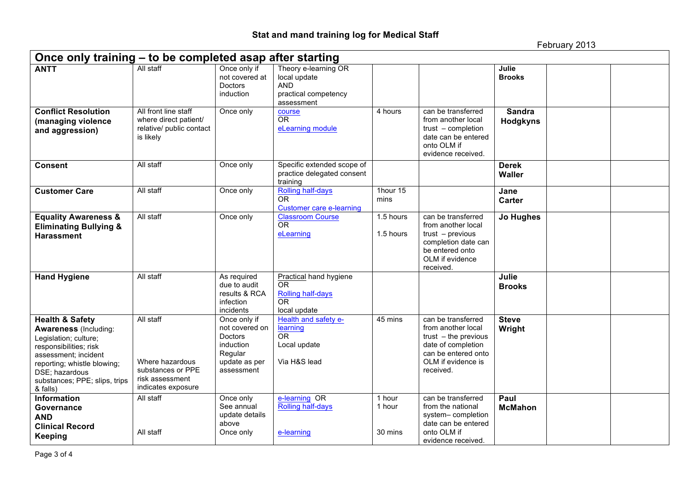February 2013

| Once only training – to be completed asap after starting                                                                                                                                                                            |                                                                                            |                                                                                                  |                                                                                          |                             |                                                                                                                                                    |                               |  |  |
|-------------------------------------------------------------------------------------------------------------------------------------------------------------------------------------------------------------------------------------|--------------------------------------------------------------------------------------------|--------------------------------------------------------------------------------------------------|------------------------------------------------------------------------------------------|-----------------------------|----------------------------------------------------------------------------------------------------------------------------------------------------|-------------------------------|--|--|
| <b>ANTT</b>                                                                                                                                                                                                                         | All staff                                                                                  | Once only if<br>not covered at<br>Doctors<br>induction                                           | Theory e-learning OR<br>local update<br><b>AND</b><br>practical competency<br>assessment |                             |                                                                                                                                                    | Julie<br><b>Brooks</b>        |  |  |
| <b>Conflict Resolution</b><br>(managing violence<br>and aggression)                                                                                                                                                                 | All front line staff<br>where direct patient/<br>relative/ public contact<br>is likely     | Once only                                                                                        | course<br>OR<br>eLearning module                                                         | 4 hours                     | can be transferred<br>from another local<br>trust – completion<br>date can be entered<br>onto OLM if<br>evidence received.                         | <b>Sandra</b><br>Hodgkyns     |  |  |
| <b>Consent</b>                                                                                                                                                                                                                      | All staff                                                                                  | Once only                                                                                        | Specific extended scope of<br>practice delegated consent<br>training                     |                             |                                                                                                                                                    | <b>Derek</b><br><b>Waller</b> |  |  |
| <b>Customer Care</b>                                                                                                                                                                                                                | All staff                                                                                  | Once only                                                                                        | Rolling half-days<br><b>OR</b><br><b>Customer care e-learning</b>                        | 1hour 15<br>mins            |                                                                                                                                                    | Jane<br><b>Carter</b>         |  |  |
| <b>Equality Awareness &amp;</b><br><b>Eliminating Bullying &amp;</b><br><b>Harassment</b>                                                                                                                                           | All staff                                                                                  | Once only                                                                                        | <b>Classroom Course</b><br><b>OR</b><br>eLearning                                        | 1.5 hours<br>1.5 hours      | can be transferred<br>from another local<br>$trust - previous$<br>completion date can<br>be entered onto<br>OLM if evidence<br>received.           | <b>Jo Hughes</b>              |  |  |
| <b>Hand Hygiene</b>                                                                                                                                                                                                                 | All staff                                                                                  | As required<br>due to audit<br>results & RCA<br>infection<br>incidents                           | Practical hand hygiene<br>0R<br>Rolling half-days<br><b>OR</b><br>local update           |                             |                                                                                                                                                    | Julie<br><b>Brooks</b>        |  |  |
| <b>Health &amp; Safety</b><br><b>Awareness (Including:</b><br>Legislation; culture;<br>responsibilities; risk<br>assessment: incident<br>reporting; whistle blowing;<br>DSE; hazardous<br>substances; PPE; slips, trips<br>& falls) | All staff<br>Where hazardous<br>substances or PPE<br>risk assessment<br>indicates exposure | Once only if<br>not covered on<br>Doctors<br>induction<br>Regular<br>update as per<br>assessment | Health and safety e-<br>learning<br><b>OR</b><br>Local update<br>Via H&S lead            | 45 mins                     | can be transferred<br>from another local<br>$trust - the previous$<br>date of completion<br>can be entered onto<br>OLM if evidence is<br>received. | <b>Steve</b><br>Wright        |  |  |
| <b>Information</b><br>Governance<br><b>AND</b><br><b>Clinical Record</b><br><b>Keeping</b>                                                                                                                                          | All staff<br>All staff                                                                     | Once only<br>See annual<br>update details<br>above<br>Once only                                  | e-learning OR<br>Rolling half-days<br>e-learning                                         | 1 hour<br>1 hour<br>30 mins | can be transferred<br>from the national<br>system-completion<br>date can be entered<br>onto OLM if<br>evidence received.                           | Paul<br><b>McMahon</b>        |  |  |